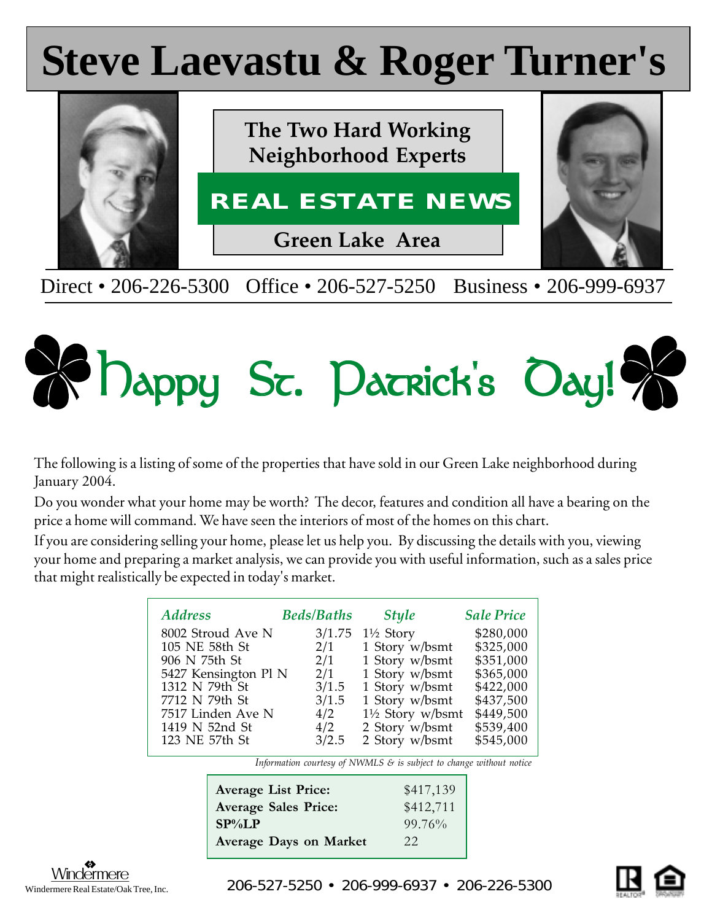# **Steve Laevastu & Roger Turner's Steve Laevastu & Roger Turner's**



Direct • 206-226-5300 Office • 206-527-5250 Business • 206-999-6937



The following is a listing of some of the properties that have sold in our Green Lake neighborhood during January 2004.

Do you wonder what your home may be worth? The decor, features and condition all have a bearing on the price a home will command. We have seen the interiors of most of the homes on this chart.

If you are considering selling your home, please let us help you. By discussing the details with you, viewing your home and preparing a market analysis, we can provide you with useful information, such as a sales price that might realistically be expected in today's market.

| <b>Address</b>       | <b>Beds/Baths</b> | <b>Style</b>                | <b>Sale Price</b> |
|----------------------|-------------------|-----------------------------|-------------------|
| 8002 Stroud Ave N    | 3/1.75            | $1\frac{1}{2}$ Story        | \$280,000         |
| 105 NE 58th St       | 2/1               | 1 Story w/bsmt              | \$325,000         |
| 906 N 75th St        | 2/1               | 1 Story w/bsmt              | \$351,000         |
| 5427 Kensington Pl N | 2/1               | 1 Story w/bsmt              | \$365,000         |
| 1312 N 79th St       | 3/1.5             | 1 Story w/bsmt              | \$422,000         |
| 7712 N 79th St       | 3/1.5             | 1 Story w/bsmt              | \$437,500         |
| 7517 Linden Ave N    | 4/2               | $1\frac{1}{2}$ Story w/bsmt | \$449,500         |
| 1419 N 52nd St       | 4/2               | 2 Story w/bsmt              | \$539,400         |
| 123 NE 57th St       | 3/2.5             | 2 Story w/bsmt              | \$545,000         |

*Information courtesy of NWMLS & is subject to change without notice*

| <b>Average List Price:</b>  | \$417,139 |
|-----------------------------|-----------|
| <b>Average Sales Price:</b> | \$412,711 |
| $SP\%LP$                    | 99.76%    |
| Average Days on Market      | 22        |